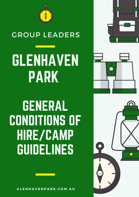

## GROUP LEADERS

GLENHAVEN PARK



# GENERAL CONDITIONS OF HIRE/CAMP GUIDELINES

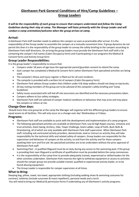### **Glenhaven Park General Conditions of Hire/Camp Guidelines – Group Leaders**

*It will be the responsibility of each group to ensure that campers understand and follow the Camp Guidelines during their stay at camp. The Manager will liaise primarily with the Group Leader and will conduct a camp orientation/welcome when the group arrives at camp.*

#### **Arrival:**

A Glenhaven Park staff member needs to address the campers as soon as practicable after arrival. It is the responsibility of the Group Leader to assemble the campers at a mutually convenient time. If group dynamics do not permit this then it is the responsibility of the group leader to convey the safety briefing to the campers according to Glenhaven Park staff directions. On arriving the group leaders must provide the Glenhaven Park staff with a list containing the camper's full names (Cabin Occupancy form) and if participating in our programs the Medical & Consent forms and Activity Group form.

#### **Group Leader Responsibilities:**

It is the group leader's responsibility to ensure that:

- Campers under 18 years of age have the appropriate parent/guardian consent to attend the camp.
- Each camper has completed a Medical & Consent form (when Glenhaven Park specialised activities are being used.
- The campsite's illness and injury register is filled out for all such incidents.
- The campsite is provided with a written list of campers (Cabin Occupancy form)
- Glenhaven Park advises Group Leaders that children under 6 & sleep walkers should not sleep on top bunks.
- All day visiting members of the group are to be advised of the campsite's safety briefing and 'Camp Guidelines'
- Safety issues associated with self-led off-site excursions are identified and the necessary precautions taken.
- Campers adhere to Sun safety strategies.
- Glenhaven Park staff are advised of camper medical conditions or behaviour that may arise and may place the campers or others at risk.

#### **Change-Over days:**

Should more than one group be at the camp the Manager will organise with the different group leaders to ensure equal access to all facilities. This will only occur on a change-over day' Wednesdays or Fridays.

#### **Programs:**

- Glenhaven Park staff are available to assist with the development and implementation of a camp program.
- The following specialised activities are available at Glenhaven Park; Low & High Ropes courses, Initiative and trust activities, Giant Swing, Archery, Hike, Tower Challenge, Giant Ladder, Leap of Faith, Bush Skills & Orienteering, all of which are only available with Glenhaven Park staff supervision. When Glenhaven Park staff, including sub-contracted activity providers, demonstrate, lead or instruct an activity they will take responsibility for the technical skills and related safety of campers. Group leaders are responsible for the supervision and behaviour of campers at the activity, to and from the activity and for those campers awaiting their turn and first aid. No specialised activities are to be undertaken without the prior approval of Glenhaven Park staff.
- Swimming Pool A qualified lifeguard must be on duty during any access to the swimming pool, if the group is providing their own lifeguard a certificate of qualification must be provided before the camp commences.
- It is the responsibility of the camp hirer to provide adequately trained, experienced or skilled leaders for the other activities undertaken. Glenhaven Park reserves the right to withdraw equipment or access to activities should the camper group not provide suitable trained, qualified or experienced activity leader, or to be found abusing equipment.
- The Group Leader is responsible for camper supervision at all times.

#### **What to Bring:**

Sleeping bag, pillow, towel, tea towel, appropriate clothing (including walking shoes & swimming costumes for summer), toiletries (include sunscreen & insect repellent!), personal needs and a torch.

You will need to bring our Medical & permission forms if undertaking any of Glenhaven's activity programs.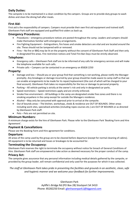#### **Daily Duties:**

The campsite is to be maintained in a clean condition by the campers. Groups are to provide duty groups to wash dishes and clean the dining hall after meals.

#### **First Aid:**

First aid is the responsibility of campers. Campers must provide their own first aid equipment and trained staff; Glenhaven Park staff are equipped and qualified first-aiders as back up.

#### **Emergency Procedures:**

- Procedures emergency procedure notices are posted throughout the camp. Leaders and campers should make themselves familiar with emergency arrangements.
- Fire Fighting Equipment Extinguishers, fire hoses and smoke detectors are vital and are located around the site. These should not be tampered with or removed.
- Fires No fire or BBQ may be lit on the property without the consent of Glenhaven Park Staff and then only in designated fire areas. Fire restriction notices and Total Fire Ban Days must be strictly observed.

#### **Telephone:**

- Emergency calls Glenhaven Park staff are to be informed of any calls for emergency services and will make the telephone available for such calls.
- Private calls Campers can be contacted in an emergency on 85828 2250

#### **Property:**

- Damage and loss Should you or your group find that something is not working, please notify the Manager promptly. Any breakages or damage incurred by your group should be made aware to camp staff so that we can enable arrangements to be made for its repair/replacement (the cost of which will be charged to your final account). Glenhaven Park takes no responsibility for the loss or damage to personal property.
- Parking All vehicle parking is strictly at the owner's risk and only in designated car parks.
- Speed restrictions Speed restrictions apply and are strictly enforced.
- Smoke free environment All buildings in the camp are designated smoke free zones and there is no smoking anywhere in the camp except for outside the Managers residence.
- Alcohol May only be consumed with approval prior to arrival at the campsite.
- Out of bounds areas The kitchen, workshops, sheds & residence are OUT OF BOUNDS. Other areas including work sites, specialised activities (including ropes courses etc.) are OUT OF BOUNDS or as directed by Glenhaven Park staff.
- Pets Pets are not permitted on site.

#### **Minimum Numbers:**

A minimum charge exists for the hire of Glenhaven Park. Please refer to the Glenhaven Park 'Booking Form and Hire Agreement'.

#### **Payment & Cancellations**

Please see the Booking Form and Hire agreement for conditions.

#### **Departure:**

All areas of the camp used by the group are to be cleaned before departure (except for normal cleaning of cabins). All equipment is to be returned and losses or breakages to be accounted for.

#### **Terminating the Occupancy:**

Glenhaven Park reserves the right to terminate the occupancy without notice for breach of General Conditions of Hire. Glenhaven Park staff are empowered to take action as deemed necessary for the proper conduct of the camp.

#### **Privacy Act:**

The campsite gives assurance that any personal information including medical details gathered by the campsite, or provided by the group leader, will remain confidential and only used for the purposes for which it was collected.

*The staff at Glenhaven Park takes pride in presenting the facilities and grounds in an aesthetic, clean, safe and hygienic manner and we welcome your feedback for further improvements.*

> Glenhaven Park Ayliffe's Bridge Rd (PO Box 28) Stockport SA 5410 Phone: 85282250 Email: [glenhavenpark1@bigpond.com](mailto:glenhavenpark1@bigpond.com)